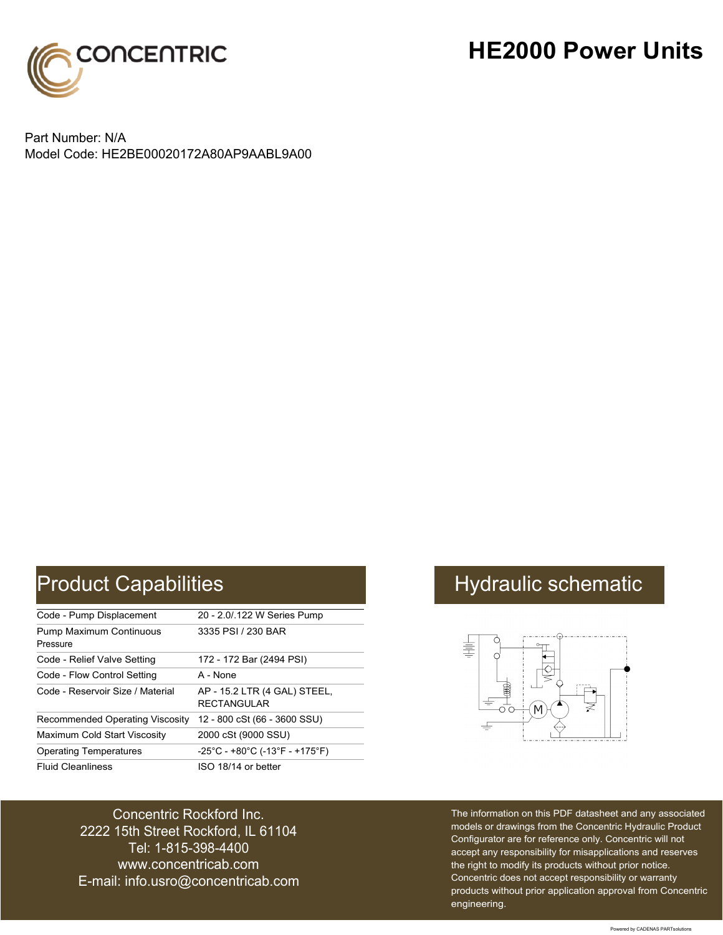

## **HE2000 Power Units**

Part Number: N/A Model Code: HE2BE00020172A80AP9AABL9A00

| Code - Pump Displacement                   | 20 - 2.0/.122 W Series Pump                                               |
|--------------------------------------------|---------------------------------------------------------------------------|
| <b>Pump Maximum Continuous</b><br>Pressure | 3335 PSI / 230 BAR                                                        |
| Code - Relief Valve Setting                | 172 - 172 Bar (2494 PSI)                                                  |
| Code - Flow Control Setting                | A - None                                                                  |
| Code - Reservoir Size / Material           | AP - 15.2 LTR (4 GAL) STEEL,<br><b>RECTANGULAR</b>                        |
| Recommended Operating Viscosity            | 12 - 800 cSt (66 - 3600 SSU)                                              |
| Maximum Cold Start Viscosity               | 2000 cSt (9000 SSU)                                                       |
| <b>Operating Temperatures</b>              | $-25^{\circ}$ C - +80 $^{\circ}$ C (-13 $^{\circ}$ F - +175 $^{\circ}$ F) |
| <b>Fluid Cleanliness</b>                   | ISO 18/14 or better                                                       |

### Concentric Rockford Inc. 2222 15th Street Rockford, IL 61104 Tel: 1-815-398-4400 [www.concentricab.com](www.concentrichydraulics.com) E-mail: [info.usro@concentrica](mailto://info.usro@concentricab.com)b.com

# Product Capabilities **Hydraulic schematic** Hydraulic schematic



The information on this PDF datasheet and any associated models or drawings from the Concentric Hydraulic Product Configurator are for reference only. Concentric will not accept any responsibility for misapplications and reserves the right to modify its products without prior notice. Concentric does not accept responsibility or warranty products without prior application approval from Concentric engineering.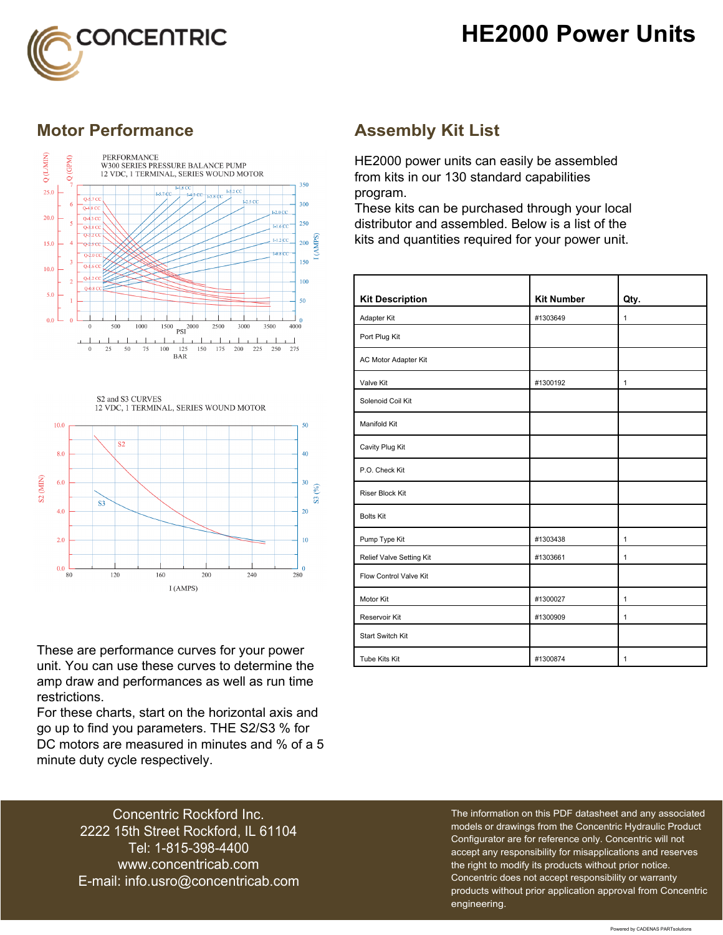## **HE2000 Power Units**



### **Motor Performance Assembly Kit List**



S2 and S3 CURVES 12 VDC, 1 TERMINAL, SERIES WOUND MOTOR



These are performance curves for your power unit. You can use these curves to determine the amp draw and performances as well as run time restrictions.

For these charts, start on the horizontal axis and go up to find you parameters. THE S2/S3 % for DC motors are measured in minutes and % of a 5 minute duty cycle respectively.

HE2000 power units can easily be assembled from kits in our 130 standard capabilities program.

These kits can be purchased through your local distributor and assembled. Below is a list of the kits and quantities required for your power unit.

| <b>Kit Description</b>   | <b>Kit Number</b> | Qty.         |
|--------------------------|-------------------|--------------|
| Adapter Kit              | #1303649          | $\mathbf{1}$ |
| Port Plug Kit            |                   |              |
| AC Motor Adapter Kit     |                   |              |
| Valve Kit                | #1300192          | $\mathbf{1}$ |
| Solenoid Coil Kit        |                   |              |
| Manifold Kit             |                   |              |
| Cavity Plug Kit          |                   |              |
| P.O. Check Kit           |                   |              |
| <b>Riser Block Kit</b>   |                   |              |
| <b>Bolts Kit</b>         |                   |              |
| Pump Type Kit            | #1303438          | $\mathbf{1}$ |
| Relief Valve Setting Kit | #1303661          | $\mathbf{1}$ |
| Flow Control Valve Kit   |                   |              |
| Motor Kit                | #1300027          | $\mathbf{1}$ |
| Reservoir Kit            | #1300909          | $\mathbf{1}$ |
| <b>Start Switch Kit</b>  |                   |              |
| Tube Kits Kit            | #1300874          | 1            |

Concentric Rockford Inc. 2222 15th Street Rockford, IL 61104 Tel: 1-815-398-4400 [www.concentricab.com](www.concentrichydraulics.com) E-mail: [info.usro@concentrica](mailto://info.usro@concentricab.com)b.com The information on this PDF datasheet and any associated models or drawings from the Concentric Hydraulic Product Configurator are for reference only. Concentric will not accept any responsibility for misapplications and reserves the right to modify its products without prior notice. Concentric does not accept responsibility or warranty products without prior application approval from Concentric engineering.